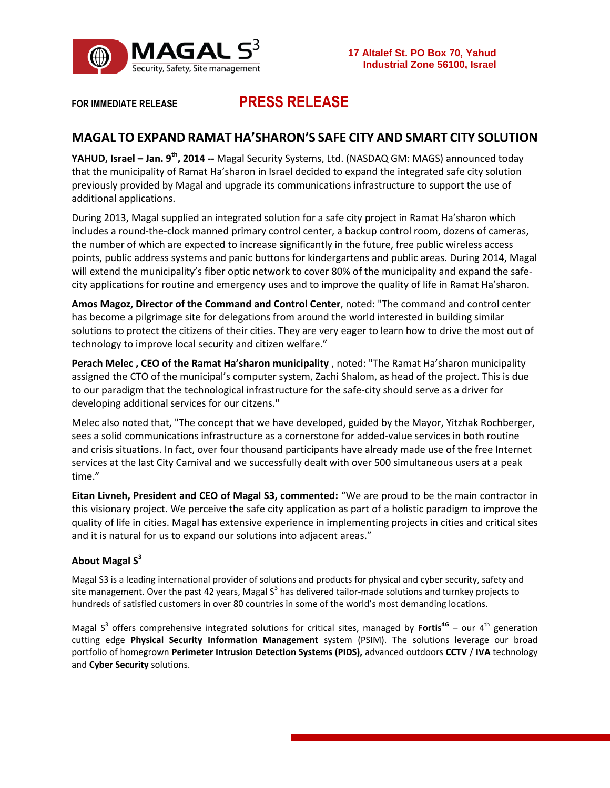

# **FOR IMMEDIATE RELEASE PRESS RELEASE**

## **MAGAL TO EXPAND RAMAT HA'SHARON'S SAFE CITY AND SMART CITY SOLUTION**

**YAHUD, Israel – Jan. 9 th , 2014 --** Magal Security Systems, Ltd. (NASDAQ GM: MAGS) announced today that the municipality of Ramat Ha'sharon in Israel decided to expand the integrated safe city solution previously provided by Magal and upgrade its communications infrastructure to support the use of additional applications.

During 2013, Magal supplied an integrated solution for a safe city project in Ramat Ha'sharon which includes a round-the-clock manned primary control center, a backup control room, dozens of cameras, the number of which are expected to increase significantly in the future, free public wireless access points, public address systems and panic buttons for kindergartens and public areas. During 2014, Magal will extend the municipality's fiber optic network to cover 80% of the municipality and expand the safecity applications for routine and emergency uses and to improve the quality of life in Ramat Ha'sharon.

**Amos Magoz, Director of the Command and Control Center**, noted: "The command and control center has become a pilgrimage site for delegations from around the world interested in building similar solutions to protect the citizens of their cities. They are very eager to learn how to drive the most out of technology to improve local security and citizen welfare."

**Perach Melec , CEO of the Ramat Ha'sharon municipality** , noted: "The Ramat Ha'sharon municipality assigned the CTO of the municipal's computer system, Zachi Shalom, as head of the project. This is due to our paradigm that the technological infrastructure for the safe-city should serve as a driver for developing additional services for our citzens."

Melec also noted that, "The concept that we have developed, guided by the Mayor, Yitzhak Rochberger, sees a solid communications infrastructure as a cornerstone for added-value services in both routine and crisis situations. In fact, over four thousand participants have already made use of the free Internet services at the last City Carnival and we successfully dealt with over 500 simultaneous users at a peak time."

**Eitan Livneh, President and CEO of Magal S3, commented:** "We are proud to be the main contractor in this visionary project. We perceive the safe city application as part of a holistic paradigm to improve the quality of life in cities. Magal has extensive experience in implementing projects in cities and critical sites and it is natural for us to expand our solutions into adjacent areas."

### **About Magal S<sup>3</sup>**

Magal S3 is a leading international provider of solutions and products for physical and cyber security, safety and site management. Over the past 42 years, Magal S<sup>3</sup> has delivered tailor-made solutions and turnkey projects to hundreds of satisfied customers in over 80 countries in some of the world's most demanding locations.

Magal S<sup>3</sup> offers comprehensive integrated solutions for critical sites, managed by Fortis<sup>4G</sup> – our 4<sup>th</sup> generation cutting edge **Physical Security Information Management** system (PSIM). The solutions leverage our broad portfolio of homegrown **Perimeter Intrusion Detection Systems (PIDS),** advanced outdoors **CCTV** / **IVA** technology and **Cyber Security** solutions.